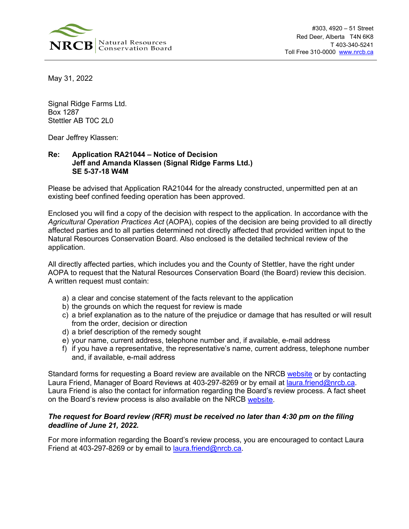

May 31, 2022

Signal Ridge Farms Ltd. Box 1287 Stettler AB T0C 2L0

Dear Jeffrey Klassen:

## **Re: Application RA21044 – Notice of Decision Jeff and Amanda Klassen (Signal Ridge Farms Ltd.) SE 5-37-18 W4M**

Please be advised that Application RA21044 for the already constructed, unpermitted pen at an existing beef confined feeding operation has been approved.

Enclosed you will find a copy of the decision with respect to the application. In accordance with the *Agricultural Operation Practices Act* (AOPA), copies of the decision are being provided to all directly affected parties and to all parties determined not directly affected that provided written input to the Natural Resources Conservation Board. Also enclosed is the detailed technical review of the application.

All directly affected parties, which includes you and the County of Stettler, have the right under AOPA to request that the Natural Resources Conservation Board (the Board) review this decision. A written request must contain:

- a) a clear and concise statement of the facts relevant to the application
- b) the grounds on which the request for review is made
- c) a brief explanation as to the nature of the prejudice or damage that has resulted or will result from the order, decision or direction
- d) a brief description of the remedy sought
- e) your name, current address, telephone number and, if available, e-mail address
- f) if you have a representative, the representative's name, current address, telephone number and, if available, e-mail address

Standard forms for requesting a Board review are available on the NRCB [website](https://www.nrcb.ca/confined-feeding-operations/board-reviews-court-decisions-revamp/fact-sheets-and-forms) or by contacting Laura Friend, Manager of Board Reviews at 403-297-8269 or by email at [laura.friend@nrcb.ca.](mailto:laura.friend@nrcb.ca) Laura Friend is also the contact for information regarding the Board's review process. A fact sheet on the Board's review process is also available on the NRCB [website.](https://www.nrcb.ca/public/download/files/97583)

## *The request for Board review (RFR) must be received no later than 4:30 pm on the filing deadline of June 21, 2022.*

For more information regarding the Board's review process, you are encouraged to contact Laura Friend at 403-297-8269 or by email to **[laura.friend@nrcb.ca.](mailto:laura.friend@nrcb.ca)**